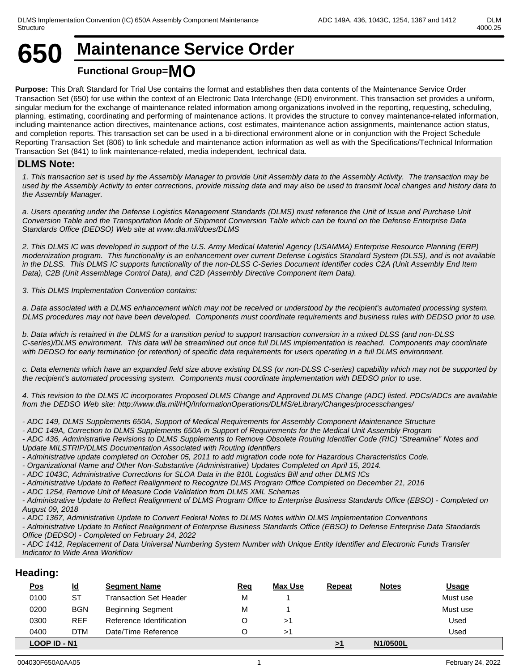

# **Functional Group=MO**

**Purpose:** This Draft Standard for Trial Use contains the format and establishes then data contents of the Maintenance Service Order Transaction Set (650) for use within the context of an Electronic Data Interchange (EDI) environment. This transaction set provides a uniform, singular medium for the exchange of maintenance related information among organizations involved in the reporting, requesting, scheduling, planning, estimating, coordinating and performing of maintenance actions. It provides the structure to convey maintenance-related information, including maintenance action directives, maintenance actions, cost estimates, maintenance action assignments, maintenance action status, and completion reports. This transaction set can be used in a bi-directional environment alone or in conjunction with the Project Schedule Reporting Transaction Set (806) to link schedule and maintenance action information as well as with the Specifications/Technical Information Transaction Set (841) to link maintenance-related, media independent, technical data.

## **DLMS Note:**

*1. This transaction set is used by the Assembly Manager to provide Unit Assembly data to the Assembly Activity. The transaction may be used by the Assembly Activity to enter corrections, provide missing data and may also be used to transmit local changes and history data to the Assembly Manager.* 

*a. Users operating under the Defense Logistics Management Standards (DLMS) must reference the Unit of Issue and Purchase Unit Conversion Table and the Transportation Mode of Shipment Conversion Table which can be found on the Defense Enterprise Data Standards Office (DEDSO) Web site at www.dla.mil/does/DLMS*

*2. This DLMS IC was developed in support of the U.S. Army Medical Materiel Agency (USAMMA) Enterprise Resource Planning (ERP) modernization program. This functionality is an enhancement over current Defense Logistics Standard System (DLSS), and is not available in the DLSS. This DLMS IC supports functionality of the non-DLSS C-Series Document Identifier codes C2A (Unit Assembly End Item Data), C2B (Unit Assemblage Control Data), and C2D (Assembly Directive Component Item Data).*

*3. This DLMS Implementation Convention contains:*

*a. Data associated with a DLMS enhancement which may not be received or understood by the recipient's automated processing system. DLMS procedures may not have been developed. Components must coordinate requirements and business rules with DEDSO prior to use.*

*b. Data which is retained in the DLMS for a transition period to support transaction conversion in a mixed DLSS (and non-DLSS C-series)/DLMS environment. This data will be streamlined out once full DLMS implementation is reached. Components may coordinate with DEDSO for early termination (or retention) of specific data requirements for users operating in a full DLMS environment.* 

*c. Data elements which have an expanded field size above existing DLSS (or non-DLSS C-series) capability which may not be supported by the recipient's automated processing system. Components must coordinate implementation with DEDSO prior to use.*

*4. This revision to the DLMS IC incorporates Proposed DLMS Change and Approved DLMS Change (ADC) listed. PDCs/ADCs are available from the DEDSO Web site: http://www.dla.mil/HQ/InformationOperations/DLMS/eLibrary/Changes/processchanges/*

*- ADC 149, DLMS Supplements 650A, Support of Medical Requirements for Assembly Component Maintenance Structure*

*- ADC 149A, Correction to DLMS Supplements 650A in Support of Requirements for the Medical Unit Assembly Program*

*- ADC 436, Administrative Revisions to DLMS Supplements to Remove Obsolete Routing Identifier Code (RIC) "Streamline" Notes and Update MILSTRIP/DLMS Documentation Associated with Routing Identifiers*

*- Administrative update completed on October 05, 2011 to add migration code note for Hazardous Characteristics Code.*

*- Organizational Name and Other Non-Substantive (Administrative) Updates Completed on April 15, 2014.*

*- ADC 1043C, Administrative Corrections for SLOA Data in the 810L Logistics Bill and other DLMS ICs*

*- Administrative Update to Reflect Realignment to Recognize DLMS Program Office Completed on December 21, 2016*

*- ADC 1254, Remove Unit of Measure Code Validation from DLMS XML Schemas*

*- Administrative Update to Reflect Realignment of DLMS Program Office to Enterprise Business Standards Office (EBSO) - Completed on August 09, 2018*

*- ADC 1367, Administrative Update to Convert Federal Notes to DLMS Notes within DLMS Implementation Conventions*

*- Administrative Update to Reflect Realignment of Enterprise Business Standards Office (EBSO) to Defense Enterprise Data Standards Office (DEDSO) - Completed on February 24, 2022*

*- ADC 1412, Replacement of Data Universal Numbering System Number with Unique Entity Identifier and Electronic Funds Transfer Indicator to Wide Area Workflow*

## **Heading:**

| <u>Pos</u>   | <u>ld</u>  | <b>Segment Name</b>           | <u>Req</u> | <b>Max Use</b> | <b>Repeat</b> | <b>Notes</b> | <b>Usage</b> |
|--------------|------------|-------------------------------|------------|----------------|---------------|--------------|--------------|
| 0100         | ST         | <b>Transaction Set Header</b> | М          |                |               |              | Must use     |
| 0200         | <b>BGN</b> | <b>Beginning Segment</b>      | М          |                |               |              | Must use     |
| 0300         | REF        | Reference Identification      |            |                |               |              | Used         |
| 0400         | <b>DTM</b> | Date/Time Reference           |            |                |               |              | Used         |
| LOOP ID - N1 |            |                               |            |                |               | N1/0500L     |              |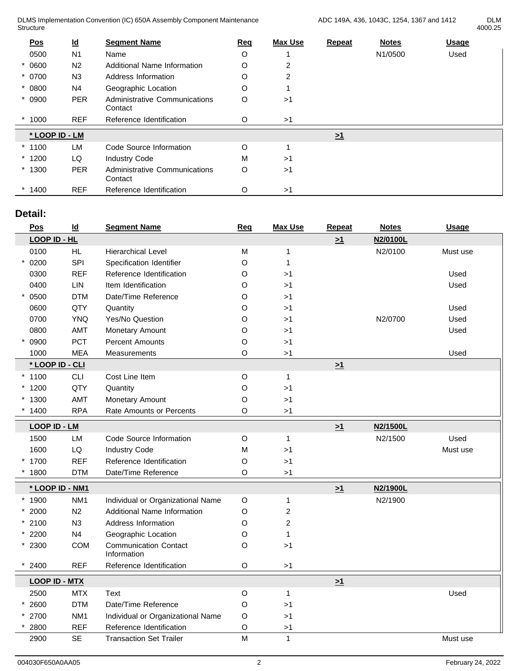DLMS Implementation Convention (IC) 650A Assembly Component Maintenance Structure **Structure** and the structure of the structure of the structure of the structure of the structure of the structure of the structure of the structure of the structure of the structure of the structure of the struc

4000.25

| $\underline{\mathsf{Pos}}$ | $\underline{\mathsf{Id}}$ | <b>Segment Name</b>                      | Req | <b>Max Use</b> | <b>Repeat</b>       | <b>Notes</b> | <b>Usage</b> |
|----------------------------|---------------------------|------------------------------------------|-----|----------------|---------------------|--------------|--------------|
| 0500                       | N <sub>1</sub>            | Name                                     | O   |                |                     | N1/0500      | Used         |
| $*0600$                    | N <sub>2</sub>            | <b>Additional Name Information</b>       | O   | 2              |                     |              |              |
| $* 0700$                   | N <sub>3</sub>            | Address Information                      | O   | 2              |                     |              |              |
| $* 0800$                   | N <sub>4</sub>            | Geographic Location                      | O   |                |                     |              |              |
| $* 0900$                   | <b>PER</b>                | Administrative Communications<br>Contact | O   | >1             |                     |              |              |
| 1000                       | <b>REF</b>                | Reference Identification                 | O   | >1             |                     |              |              |
| * LOOP ID - LM             |                           |                                          |     |                | $\geq$ <sup>1</sup> |              |              |
| $*1100$                    | <b>LM</b>                 | Code Source Information                  | O   |                |                     |              |              |
| $*1200$                    | LQ                        | <b>Industry Code</b>                     | M   | >1             |                     |              |              |
| $*1300$                    | <b>PER</b>                | Administrative Communications<br>Contact | O   | >1             |                     |              |              |
| $*1400$                    | <b>REF</b>                | Reference Identification                 | O   | >1             |                     |              |              |

# **Detail:**

| Pos                  | $\underline{\mathsf{Id}}$ | <b>Segment Name</b>                         | Req                                                                                   | <b>Max Use</b> | <b>Repeat</b> | <b>Notes</b> | <b>Usage</b> |
|----------------------|---------------------------|---------------------------------------------|---------------------------------------------------------------------------------------|----------------|---------------|--------------|--------------|
| LOOP ID - HL         |                           |                                             |                                                                                       |                | $\geq 1$      | N2/0100L     |              |
| 0100                 | HL                        | <b>Hierarchical Level</b>                   | M                                                                                     | $\mathbf{1}$   |               | N2/0100      | Must use     |
| 0200                 | SPI                       | Specification Identifier                    | O                                                                                     | $\mathbf{1}$   |               |              |              |
| 0300                 | <b>REF</b>                | Reference Identification                    | O                                                                                     | >1             |               |              | Used         |
| 0400                 | LIN                       | Item Identification                         | O                                                                                     | >1             |               |              | Used         |
| 0500                 | <b>DTM</b>                | Date/Time Reference                         | O                                                                                     | >1             |               |              |              |
| 0600                 | QTY                       | Quantity                                    | O                                                                                     | >1             |               |              | Used         |
| 0700                 | <b>YNQ</b>                | Yes/No Question                             | O                                                                                     | >1             |               | N2/0700      | Used         |
| 0800                 | AMT                       | Monetary Amount                             | O                                                                                     | >1             |               |              | Used         |
| 0900                 | PCT                       | <b>Percent Amounts</b>                      | O                                                                                     | >1             |               |              |              |
| 1000                 | <b>MEA</b>                | Measurements                                | O                                                                                     | >1             |               |              | Used         |
| * LOOP ID - CLI      |                           |                                             |                                                                                       |                | $\geq 1$      |              |              |
| $*1100$              | <b>CLI</b>                | Cost Line Item                              | $\mathsf O$                                                                           | $\mathbf{1}$   |               |              |              |
| * 1200               | QTY                       | Quantity                                    | O                                                                                     | $>1$           |               |              |              |
| $*1300$              | AMT                       | Monetary Amount                             | O                                                                                     | >1             |               |              |              |
| 1400                 | <b>RPA</b>                | Rate Amounts or Percents                    | O                                                                                     | $>1$           |               |              |              |
| <b>LOOP ID - LM</b>  |                           |                                             |                                                                                       |                | $\geq 1$      | N2/1500L     |              |
| 1500                 | LM                        | Code Source Information                     | $\circ$                                                                               | $\mathbf{1}$   |               | N2/1500      | Used         |
| 1600                 | ${\sf LQ}$                | <b>Industry Code</b>                        | M                                                                                     | >1             |               |              | Must use     |
| * 1700               | <b>REF</b>                | Reference Identification                    | O                                                                                     | >1             |               |              |              |
| $*1800$              | <b>DTM</b>                | Date/Time Reference                         | O                                                                                     | >1             |               |              |              |
|                      |                           |                                             |                                                                                       |                |               |              |              |
| * LOOP ID - NM1      |                           |                                             |                                                                                       |                | $\geq 1$      | N2/1900L     |              |
| * 1900               | NM <sub>1</sub>           | Individual or Organizational Name           | $\circ$                                                                               | $\mathbf 1$    |               | N2/1900      |              |
| 2000                 | N2                        | Additional Name Information                 | O                                                                                     | $\overline{c}$ |               |              |              |
| $*2100$              | N3                        | Address Information                         | O                                                                                     | $\overline{c}$ |               |              |              |
| $*2200$              | N4                        | Geographic Location                         | O                                                                                     | $\mathbf{1}$   |               |              |              |
| $*2300$              | COM                       | <b>Communication Contact</b><br>Information | O                                                                                     | $>1$           |               |              |              |
| 2400                 | <b>REF</b>                | Reference Identification                    | $\circ$                                                                               | $>1$           |               |              |              |
| <b>LOOP ID - MTX</b> |                           |                                             |                                                                                       |                | $\geq 1$      |              |              |
| 2500                 | <b>MTX</b>                | Text                                        | O                                                                                     | $\mathbf{1}$   |               |              | Used         |
| 2600                 | <b>DTM</b>                | Date/Time Reference                         | O                                                                                     | >1             |               |              |              |
| 2700                 | NM <sub>1</sub>           | Individual or Organizational Name           | O                                                                                     | >1             |               |              |              |
| 2800                 | <b>REF</b>                | Reference Identification                    | O                                                                                     | >1             |               |              |              |
| 2900                 | <b>SE</b>                 | <b>Transaction Set Trailer</b>              | $\mathsf{M}% _{T}=\mathsf{M}_{T}\!\left( a,b\right) ,\ \mathsf{M}_{T}=\mathsf{M}_{T}$ | $\mathbf{1}$   |               |              | Must use     |
|                      |                           |                                             |                                                                                       |                |               |              |              |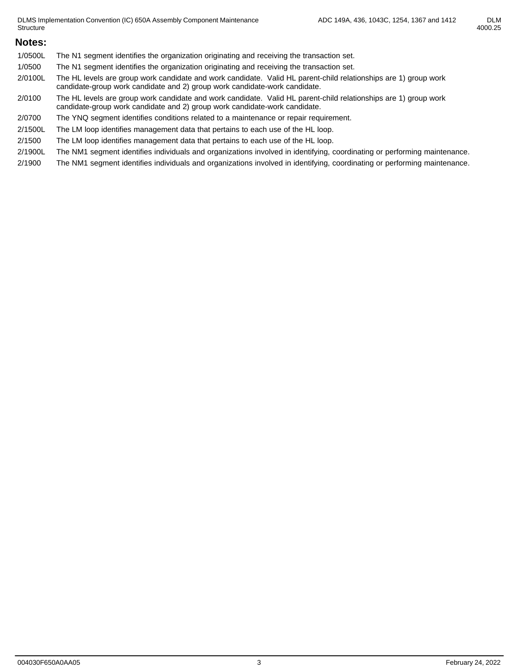## **Notes:**

- 1/0500L The N1 segment identifies the organization originating and receiving the transaction set.
- 1/0500 The N1 segment identifies the organization originating and receiving the transaction set.
- 2/0100L The HL levels are group work candidate and work candidate. Valid HL parent-child relationships are 1) group work candidate-group work candidate and 2) group work candidate-work candidate.
- 2/0100 The HL levels are group work candidate and work candidate. Valid HL parent-child relationships are 1) group work candidate-group work candidate and 2) group work candidate-work candidate.
- 2/0700 The YNQ segment identifies conditions related to a maintenance or repair requirement.
- 2/1500L The LM loop identifies management data that pertains to each use of the HL loop.
- 2/1500 The LM loop identifies management data that pertains to each use of the HL loop.
- 2/1900L The NM1 segment identifies individuals and organizations involved in identifying, coordinating or performing maintenance.
- 2/1900 The NM1 segment identifies individuals and organizations involved in identifying, coordinating or performing maintenance.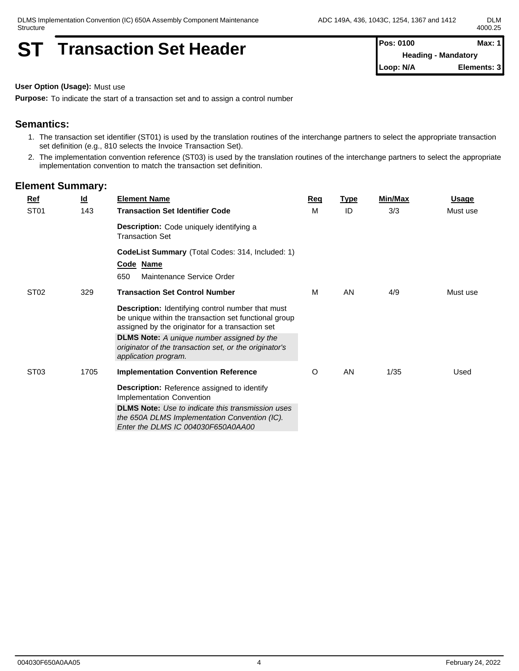# **ST Transaction Set Header Pos: 0100 Max: 1 Max: 1**

**Heading - Mandatory Loop: N/A Elements: 3**

**User Option (Usage):** Must use

**Purpose:** To indicate the start of a transaction set and to assign a control number

## **Semantics:**

- 1. The transaction set identifier (ST01) is used by the translation routines of the interchange partners to select the appropriate transaction set definition (e.g., 810 selects the Invoice Transaction Set).
- 2. The implementation convention reference (ST03) is used by the translation routines of the interchange partners to select the appropriate implementation convention to match the transaction set definition.

| $Ref$            | <u>ld</u> | <b>Element Name</b>                                                                                                                                                   | Reg | <b>Type</b> | Min/Max | <u>Usage</u> |
|------------------|-----------|-----------------------------------------------------------------------------------------------------------------------------------------------------------------------|-----|-------------|---------|--------------|
| ST <sub>01</sub> | 143       | <b>Transaction Set Identifier Code</b>                                                                                                                                | м   | ID          | 3/3     | Must use     |
|                  |           | <b>Description:</b> Code uniquely identifying a<br><b>Transaction Set</b>                                                                                             |     |             |         |              |
|                  |           | CodeList Summary (Total Codes: 314, Included: 1)<br>Code Name<br>Maintenance Service Order<br>650                                                                     |     |             |         |              |
| ST <sub>02</sub> | 329       | <b>Transaction Set Control Number</b>                                                                                                                                 | М   | AN          | 4/9     | Must use     |
|                  |           | <b>Description:</b> Identifying control number that must<br>be unique within the transaction set functional group<br>assigned by the originator for a transaction set |     |             |         |              |
|                  |           | <b>DLMS Note:</b> A unique number assigned by the<br>originator of the transaction set, or the originator's<br>application program.                                   |     |             |         |              |
| ST <sub>03</sub> | 1705      | <b>Implementation Convention Reference</b>                                                                                                                            | O   | AN          | 1/35    | Used         |
|                  |           | <b>Description:</b> Reference assigned to identify<br>Implementation Convention                                                                                       |     |             |         |              |
|                  |           | <b>DLMS Note:</b> Use to indicate this transmission uses<br>the 650A DLMS Implementation Convention (IC).<br>Enter the DLMS IC 004030F650A0AA00                       |     |             |         |              |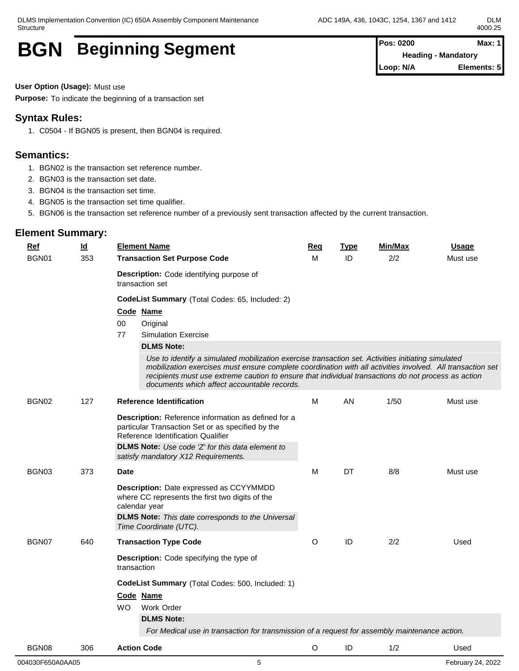**Heading - Mandatory Loop: N/A Elements: 5**

# **BGN** Beginning Segment **Pos: 0200** Max: 1

**User Option (Usage):** Must use

**Purpose:** To indicate the beginning of a transaction set

# **Syntax Rules:**

1. C0504 - If BGN05 is present, then BGN04 is required.

# **Semantics:**

- 1. BGN02 is the transaction set reference number.
- 2. BGN03 is the transaction set date.
- 3. BGN04 is the transaction set time.
- 4. BGN05 is the transaction set time qualifier.
- 5. BGN06 is the transaction set reference number of a previously sent transaction affected by the current transaction.

| $Ref$ | <u>ld</u> | <b>Element Name</b>                                                                                                                                                                                                                                                                                                                                                    | <u>Req</u> | <b>Type</b> | Min/Max | <b>Usage</b> |
|-------|-----------|------------------------------------------------------------------------------------------------------------------------------------------------------------------------------------------------------------------------------------------------------------------------------------------------------------------------------------------------------------------------|------------|-------------|---------|--------------|
| BGN01 | 353       | <b>Transaction Set Purpose Code</b>                                                                                                                                                                                                                                                                                                                                    | м          | ID          | 2/2     | Must use     |
|       |           | Description: Code identifying purpose of<br>transaction set                                                                                                                                                                                                                                                                                                            |            |             |         |              |
|       |           | CodeList Summary (Total Codes: 65, Included: 2)                                                                                                                                                                                                                                                                                                                        |            |             |         |              |
|       |           | Code Name                                                                                                                                                                                                                                                                                                                                                              |            |             |         |              |
|       |           | $00\,$<br>Original                                                                                                                                                                                                                                                                                                                                                     |            |             |         |              |
|       |           | 77<br><b>Simulation Exercise</b>                                                                                                                                                                                                                                                                                                                                       |            |             |         |              |
|       |           | <b>DLMS Note:</b>                                                                                                                                                                                                                                                                                                                                                      |            |             |         |              |
|       |           | Use to identify a simulated mobilization exercise transaction set. Activities initiating simulated<br>mobilization exercises must ensure complete coordination with all activities involved. All transaction set<br>recipients must use extreme caution to ensure that individual transactions do not process as action<br>documents which affect accountable records. |            |             |         |              |
| BGN02 | 127       | <b>Reference Identification</b>                                                                                                                                                                                                                                                                                                                                        | м          | AN          | 1/50    | Must use     |
|       |           | <b>Description:</b> Reference information as defined for a<br>particular Transaction Set or as specified by the<br>Reference Identification Qualifier<br><b>DLMS Note:</b> Use code 'Z' for this data element to<br>satisfy mandatory X12 Requirements.                                                                                                                |            |             |         |              |
| BGN03 | 373       | Date                                                                                                                                                                                                                                                                                                                                                                   | M          | DT          | 8/8     | Must use     |
|       |           | Description: Date expressed as CCYYMMDD<br>where CC represents the first two digits of the<br>calendar year<br><b>DLMS Note:</b> This date corresponds to the Universal<br>Time Coordinate (UTC).                                                                                                                                                                      |            |             |         |              |
| BGN07 | 640       | <b>Transaction Type Code</b>                                                                                                                                                                                                                                                                                                                                           | O          | ID          | 2/2     | Used         |
|       |           | Description: Code specifying the type of<br>transaction                                                                                                                                                                                                                                                                                                                |            |             |         |              |
|       |           | CodeList Summary (Total Codes: 500, Included: 1)                                                                                                                                                                                                                                                                                                                       |            |             |         |              |
|       |           | Code Name                                                                                                                                                                                                                                                                                                                                                              |            |             |         |              |
|       |           | WO.<br>Work Order                                                                                                                                                                                                                                                                                                                                                      |            |             |         |              |
|       |           | <b>DLMS Note:</b>                                                                                                                                                                                                                                                                                                                                                      |            |             |         |              |
|       |           | For Medical use in transaction for transmission of a request for assembly maintenance action.                                                                                                                                                                                                                                                                          |            |             |         |              |
| BGN08 | 306       | <b>Action Code</b>                                                                                                                                                                                                                                                                                                                                                     | O          | ID          | 1/2     | Used         |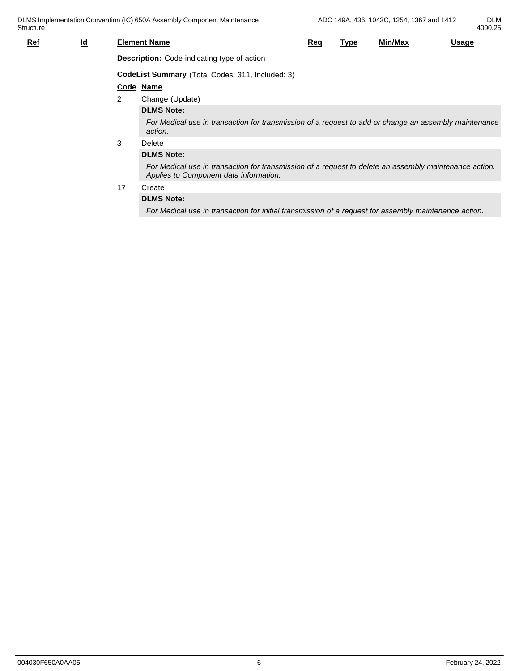| $Ref$ | $\underline{\mathsf{Id}}$ |    | <b>Element Name</b>                                                                                                                              | Rec | <u>Type</u> | Min/Max | <b>Usage</b> |  |  |  |  |  |  |
|-------|---------------------------|----|--------------------------------------------------------------------------------------------------------------------------------------------------|-----|-------------|---------|--------------|--|--|--|--|--|--|
|       |                           |    | <b>Description:</b> Code indicating type of action                                                                                               |     |             |         |              |  |  |  |  |  |  |
|       |                           |    | CodeList Summary (Total Codes: 311, Included: 3)                                                                                                 |     |             |         |              |  |  |  |  |  |  |
|       | Code Name                 |    |                                                                                                                                                  |     |             |         |              |  |  |  |  |  |  |
|       |                           | 2  | Change (Update)                                                                                                                                  |     |             |         |              |  |  |  |  |  |  |
|       |                           |    | <b>DLMS Note:</b>                                                                                                                                |     |             |         |              |  |  |  |  |  |  |
|       |                           |    | For Medical use in transaction for transmission of a request to add or change an assembly maintenance<br>action.                                 |     |             |         |              |  |  |  |  |  |  |
|       |                           | 3  | Delete                                                                                                                                           |     |             |         |              |  |  |  |  |  |  |
|       |                           |    | <b>DLMS Note:</b>                                                                                                                                |     |             |         |              |  |  |  |  |  |  |
|       |                           |    | For Medical use in transaction for transmission of a request to delete an assembly maintenance action.<br>Applies to Component data information. |     |             |         |              |  |  |  |  |  |  |
|       |                           | 17 | Create                                                                                                                                           |     |             |         |              |  |  |  |  |  |  |

### **DLMS Note:**

*For Medical use in transaction for initial transmission of a request for assembly maintenance action.*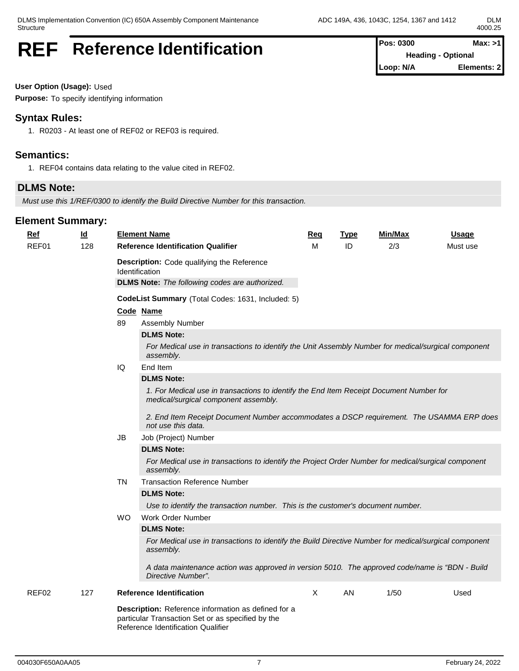# REF Reference Identification **Pos: 0300** Max: >1

**Heading - Optional Loop: N/A Elements: 2**

**User Option (Usage):** Used

**Purpose:** To specify identifying information

## **Syntax Rules:**

1. R0203 - At least one of REF02 or REF03 is required.

## **Semantics:**

1. REF04 contains data relating to the value cited in REF02.

# **DLMS Note:**

*Must use this 1/REF/0300 to identify the Build Directive Number for this transaction.*

| <b>Ref</b> | $\underline{\mathsf{Id}}$ |           | <b>Element Name</b>                                                                                                                            | Req | <b>Type</b> | Min/Max | <u>Usage</u> |  |  |  |  |
|------------|---------------------------|-----------|------------------------------------------------------------------------------------------------------------------------------------------------|-----|-------------|---------|--------------|--|--|--|--|
| REF01      | 128                       |           | <b>Reference Identification Qualifier</b><br>Description: Code qualifying the Reference                                                        | м   | ID          | 2/3     | Must use     |  |  |  |  |
|            |                           |           | <b>Identification</b>                                                                                                                          |     |             |         |              |  |  |  |  |
|            |                           |           | <b>DLMS Note:</b> The following codes are authorized.                                                                                          |     |             |         |              |  |  |  |  |
|            |                           |           | CodeList Summary (Total Codes: 1631, Included: 5)                                                                                              |     |             |         |              |  |  |  |  |
|            |                           |           | Code Name                                                                                                                                      |     |             |         |              |  |  |  |  |
|            |                           | 89        | Assembly Number                                                                                                                                |     |             |         |              |  |  |  |  |
|            |                           |           | <b>DLMS Note:</b>                                                                                                                              |     |             |         |              |  |  |  |  |
|            |                           |           | For Medical use in transactions to identify the Unit Assembly Number for medical/surgical component<br>assembly.                               |     |             |         |              |  |  |  |  |
|            |                           | IQ        | End Item                                                                                                                                       |     |             |         |              |  |  |  |  |
|            |                           |           | <b>DLMS Note:</b>                                                                                                                              |     |             |         |              |  |  |  |  |
|            |                           |           | 1. For Medical use in transactions to identify the End Item Receipt Document Number for<br>medical/surgical component assembly.                |     |             |         |              |  |  |  |  |
|            |                           |           | 2. End Item Receipt Document Number accommodates a DSCP requirement. The USAMMA ERP does<br>not use this data.                                 |     |             |         |              |  |  |  |  |
|            |                           | <b>JB</b> | Job (Project) Number                                                                                                                           |     |             |         |              |  |  |  |  |
|            |                           |           | <b>DLMS Note:</b>                                                                                                                              |     |             |         |              |  |  |  |  |
|            |                           |           | For Medical use in transactions to identify the Project Order Number for medical/surgical component<br>assembly.                               |     |             |         |              |  |  |  |  |
|            |                           | <b>TN</b> | <b>Transaction Reference Number</b>                                                                                                            |     |             |         |              |  |  |  |  |
|            |                           |           | <b>DLMS Note:</b>                                                                                                                              |     |             |         |              |  |  |  |  |
|            |                           |           | Use to identify the transaction number. This is the customer's document number.                                                                |     |             |         |              |  |  |  |  |
|            |                           | WO.       | Work Order Number                                                                                                                              |     |             |         |              |  |  |  |  |
|            |                           |           | <b>DLMS Note:</b>                                                                                                                              |     |             |         |              |  |  |  |  |
|            |                           |           | For Medical use in transactions to identify the Build Directive Number for medical/surgical component<br>assembly.                             |     |             |         |              |  |  |  |  |
|            |                           |           | A data maintenance action was approved in version 5010. The approved code/name is "BDN - Build<br>Directive Number".                           |     |             |         |              |  |  |  |  |
| REF02      | 127                       |           | <b>Reference Identification</b>                                                                                                                | X   | AN          | 1/50    | Used         |  |  |  |  |
|            |                           |           | Description: Reference information as defined for a<br>particular Transaction Set or as specified by the<br>Reference Identification Qualifier |     |             |         |              |  |  |  |  |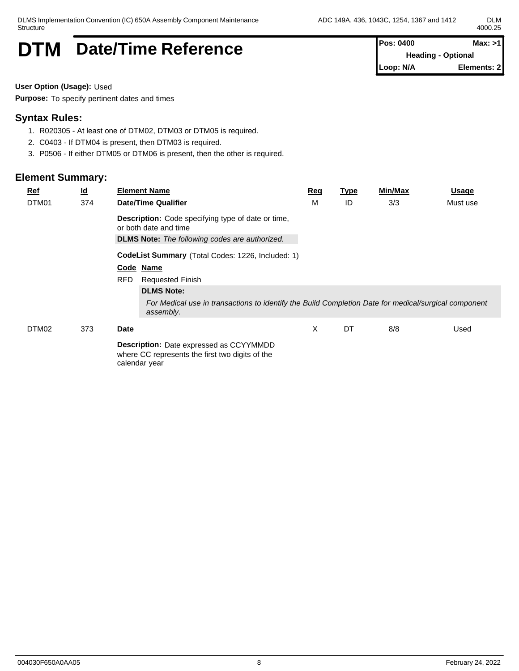# **DTM** Date/Time Reference **Pos: 0400** Max: >1

**Heading - Optional Loop: N/A Elements: 2**

**User Option (Usage):** Used

**Purpose:** To specify pertinent dates and times

## **Syntax Rules:**

- 1. R020305 At least one of DTM02, DTM03 or DTM05 is required.
- 2. C0403 If DTM04 is present, then DTM03 is required.
- 3. P0506 If either DTM05 or DTM06 is present, then the other is required.

| <b>Ref</b> | <u>ld</u> |               | <b>Element Name</b>                                                                                               | <u>Req</u> | <u>Type</u> | Min/Max | Usage    |
|------------|-----------|---------------|-------------------------------------------------------------------------------------------------------------------|------------|-------------|---------|----------|
| DTM01      | 374       |               | <b>Date/Time Qualifier</b>                                                                                        | М          | ID          | 3/3     | Must use |
|            |           |               | <b>Description:</b> Code specifying type of date or time,<br>or both date and time                                |            |             |         |          |
|            |           |               | <b>DLMS Note:</b> The following codes are authorized.                                                             |            |             |         |          |
|            |           |               | CodeList Summary (Total Codes: 1226, Included: 1)                                                                 |            |             |         |          |
|            |           | Code Name     |                                                                                                                   |            |             |         |          |
|            |           | <b>RFD</b>    | <b>Requested Finish</b>                                                                                           |            |             |         |          |
|            |           |               | <b>DLMS Note:</b>                                                                                                 |            |             |         |          |
|            |           |               | For Medical use in transactions to identify the Build Completion Date for medical/surgical component<br>assembly. |            |             |         |          |
| DTM02      | 373       | <b>Date</b>   |                                                                                                                   | X          | DT          | 8/8     | Used     |
|            |           | calendar year | <b>Description:</b> Date expressed as CCYYMMDD<br>where CC represents the first two digits of the                 |            |             |         |          |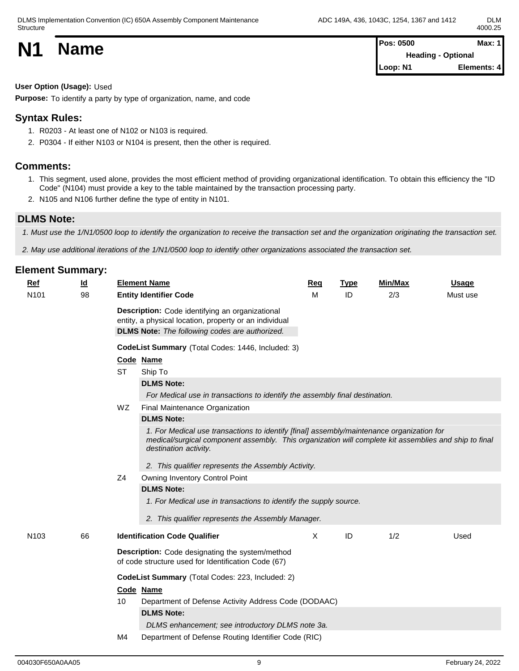**N1 Name Pos: 0500 Max: 1**<br>**Pos: 0500 Max: 1 Heading - Optional Loop: N1 Elements: 4**

**User Option (Usage):** Used

**Purpose:** To identify a party by type of organization, name, and code

## **Syntax Rules:**

- 1. R0203 At least one of N102 or N103 is required.
- 2. P0304 If either N103 or N104 is present, then the other is required.

#### **Comments:**

- 1. This segment, used alone, provides the most efficient method of providing organizational identification. To obtain this efficiency the "ID Code" (N104) must provide a key to the table maintained by the transaction processing party.
- 2. N105 and N106 further define the type of entity in N101.

## **DLMS Note:**

*1. Must use the 1/N1/0500 loop to identify the organization to receive the transaction set and the organization originating the transaction set.*

*2. May use additional iterations of the 1/N1/0500 loop to identify other organizations associated the transaction set.*

| <b>Ref</b>       | $\underline{\mathsf{Id}}$ |           | <b>Element Name</b>                                                                                                                                                                                                                                                                | <b>Req</b>   | <b>Type</b> | <b>Min/Max</b> | <b>Usage</b> |
|------------------|---------------------------|-----------|------------------------------------------------------------------------------------------------------------------------------------------------------------------------------------------------------------------------------------------------------------------------------------|--------------|-------------|----------------|--------------|
| N <sub>101</sub> | 98                        |           | <b>Entity Identifier Code</b>                                                                                                                                                                                                                                                      | M            | ID          | 2/3            | Must use     |
|                  |                           |           | Description: Code identifying an organizational<br>entity, a physical location, property or an individual<br><b>DLMS Note:</b> The following codes are authorized.                                                                                                                 |              |             |                |              |
|                  |                           |           | CodeList Summary (Total Codes: 1446, Included: 3)                                                                                                                                                                                                                                  |              |             |                |              |
|                  |                           |           | Code Name                                                                                                                                                                                                                                                                          |              |             |                |              |
|                  |                           | <b>ST</b> | Ship To                                                                                                                                                                                                                                                                            |              |             |                |              |
|                  |                           |           | <b>DLMS Note:</b>                                                                                                                                                                                                                                                                  |              |             |                |              |
|                  |                           |           | For Medical use in transactions to identify the assembly final destination.                                                                                                                                                                                                        |              |             |                |              |
|                  |                           | WZ        | Final Maintenance Organization                                                                                                                                                                                                                                                     |              |             |                |              |
|                  |                           |           | <b>DLMS Note:</b>                                                                                                                                                                                                                                                                  |              |             |                |              |
|                  |                           |           | 1. For Medical use transactions to identify [final] assembly/maintenance organization for<br>medical/surgical component assembly. This organization will complete kit assemblies and ship to final<br>destination activity.<br>2. This qualifier represents the Assembly Activity. |              |             |                |              |
|                  |                           | Z4        | Owning Inventory Control Point                                                                                                                                                                                                                                                     |              |             |                |              |
|                  |                           |           | <b>DLMS Note:</b>                                                                                                                                                                                                                                                                  |              |             |                |              |
|                  |                           |           | 1. For Medical use in transactions to identify the supply source.                                                                                                                                                                                                                  |              |             |                |              |
|                  |                           |           | 2. This qualifier represents the Assembly Manager.                                                                                                                                                                                                                                 |              |             |                |              |
| N <sub>103</sub> | 66                        |           | <b>Identification Code Qualifier</b>                                                                                                                                                                                                                                               | $\mathsf{X}$ | ID          | 1/2            | Used         |
|                  |                           |           | Description: Code designating the system/method<br>of code structure used for Identification Code (67)                                                                                                                                                                             |              |             |                |              |
|                  |                           |           | CodeList Summary (Total Codes: 223, Included: 2)                                                                                                                                                                                                                                   |              |             |                |              |
|                  |                           |           | Code Name                                                                                                                                                                                                                                                                          |              |             |                |              |
|                  |                           | 10        | Department of Defense Activity Address Code (DODAAC)                                                                                                                                                                                                                               |              |             |                |              |
|                  |                           |           | <b>DLMS Note:</b>                                                                                                                                                                                                                                                                  |              |             |                |              |
|                  |                           |           | DLMS enhancement; see introductory DLMS note 3a.                                                                                                                                                                                                                                   |              |             |                |              |
|                  |                           | M4        | Department of Defense Routing Identifier Code (RIC)                                                                                                                                                                                                                                |              |             |                |              |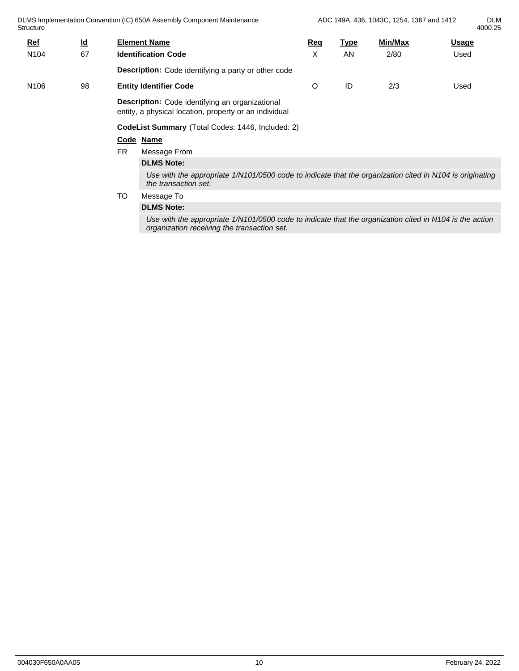DLMS Implementation Convention (IC) 650A Assembly Component Maintenance **Structure** ADC 149A, 436, 1043C, 1254, 1367 and 1412 DLM 4000.25 **Ref Id Element Name Req Type Min/Max Usage** N104 67 **Identification Code Description:** Code identifying a party or other code X AN 2/80 Used N106 98 **Entity Identifier Code Description:** Code identifying an organizational entity, a physical location, property or an individual O ID 2/3 Used **CodeList Summary** (Total Codes: 1446, Included: 2) **Code Name** FR Message From **DLMS Note:** *Use with the appropriate 1/N101/0500 code to indicate that the organization cited in N104 is originating the transaction set.* TO Message To **DLMS Note:**

> *Use with the appropriate 1/N101/0500 code to indicate that the organization cited in N104 is the action organization receiving the transaction set.*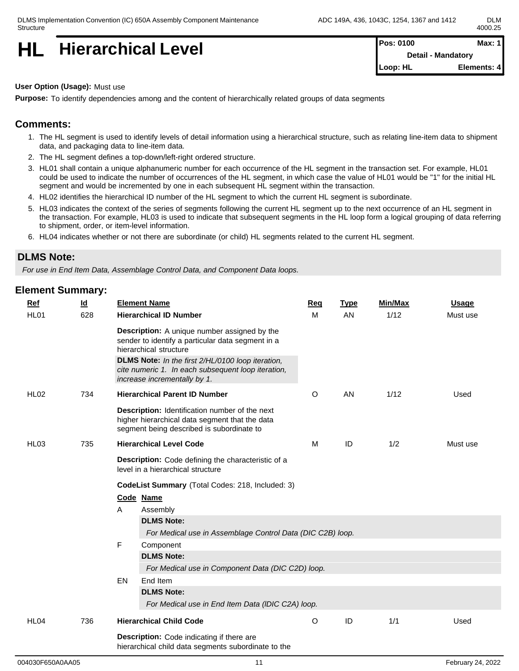**HL** Hierarchical Level **Pos: 0100 Max: 1 Pos: 0100 Max: 1** 

**Detail - Mandatory Loop: HL Elements: 4**

#### **User Option (Usage):** Must use

**Purpose:** To identify dependencies among and the content of hierarchically related groups of data segments

## **Comments:**

- 1. The HL segment is used to identify levels of detail information using a hierarchical structure, such as relating line-item data to shipment data, and packaging data to line-item data.
- 2. The HL segment defines a top-down/left-right ordered structure.
- 3. HL01 shall contain a unique alphanumeric number for each occurrence of the HL segment in the transaction set. For example, HL01 could be used to indicate the number of occurrences of the HL segment, in which case the value of HL01 would be "1" for the initial HL segment and would be incremented by one in each subsequent HL segment within the transaction.
- 4. HL02 identifies the hierarchical ID number of the HL segment to which the current HL segment is subordinate.
- 5. HL03 indicates the context of the series of segments following the current HL segment up to the next occurrence of an HL segment in the transaction. For example, HL03 is used to indicate that subsequent segments in the HL loop form a logical grouping of data referring to shipment, order, or item-level information.
- 6. HL04 indicates whether or not there are subordinate (or child) HL segments related to the current HL segment.

### **DLMS Note:**

*For use in End Item Data, Assemblage Control Data, and Component Data loops.*

| Ref              | $\underline{\mathsf{Id}}$ | <b>Element Name</b>                                                                                                                                  | Req     | <b>Type</b>   | Min/Max | <b>Usage</b> |
|------------------|---------------------------|------------------------------------------------------------------------------------------------------------------------------------------------------|---------|---------------|---------|--------------|
| HL01             | 628                       | <b>Hierarchical ID Number</b>                                                                                                                        | M       | AN            | 1/12    | Must use     |
|                  |                           | <b>Description:</b> A unique number assigned by the<br>sender to identify a particular data segment in a<br>hierarchical structure                   |         |               |         |              |
|                  |                           | DLMS Note: In the first 2/HL/0100 loop iteration,<br>cite numeric 1. In each subsequent loop iteration,<br>increase incrementally by 1.              |         |               |         |              |
| <b>HL02</b>      | 734                       | <b>Hierarchical Parent ID Number</b>                                                                                                                 | O       | AN            | 1/12    | Used         |
|                  |                           | <b>Description:</b> Identification number of the next<br>higher hierarchical data segment that the data<br>segment being described is subordinate to |         |               |         |              |
| HL <sub>03</sub> | 735                       | <b>Hierarchical Level Code</b>                                                                                                                       | M       | ID            | 1/2     | Must use     |
|                  |                           | Description: Code defining the characteristic of a<br>level in a hierarchical structure                                                              |         |               |         |              |
|                  |                           | CodeList Summary (Total Codes: 218, Included: 3)                                                                                                     |         |               |         |              |
|                  |                           | Code Name                                                                                                                                            |         |               |         |              |
|                  |                           | Α<br>Assembly                                                                                                                                        |         |               |         |              |
|                  |                           | <b>DLMS Note:</b>                                                                                                                                    |         |               |         |              |
|                  |                           | For Medical use in Assemblage Control Data (DIC C2B) loop.                                                                                           |         |               |         |              |
|                  |                           | F<br>Component                                                                                                                                       |         |               |         |              |
|                  |                           | <b>DLMS Note:</b>                                                                                                                                    |         |               |         |              |
|                  |                           | For Medical use in Component Data (DIC C2D) loop.                                                                                                    |         |               |         |              |
|                  |                           | EN<br>End Item                                                                                                                                       |         |               |         |              |
|                  |                           | <b>DLMS Note:</b><br>For Medical use in End Item Data (IDIC C2A) loop.                                                                               |         |               |         |              |
| HL04             | 736                       | <b>Hierarchical Child Code</b>                                                                                                                       | $\circ$ | $\mathsf{ID}$ | 1/1     | Used         |
|                  |                           | <b>Description:</b> Code indicating if there are<br>hierarchical child data segments subordinate to the                                              |         |               |         |              |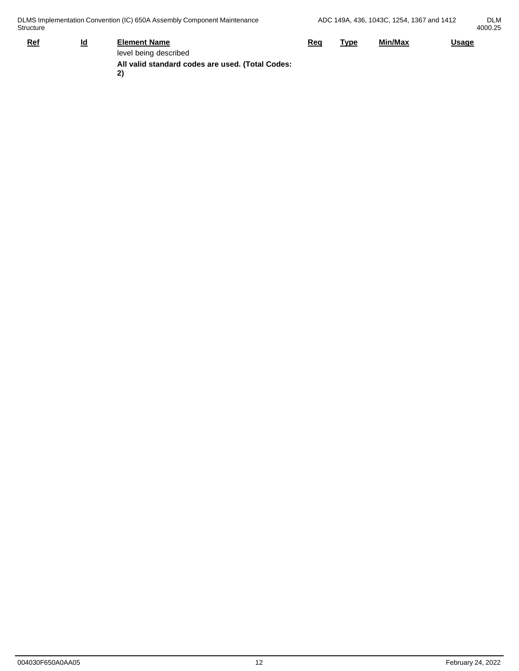| Structure                               | DLMS Implementation Convention (IC) 650A Assembly Component Maintenance                                |            |      | ADC 149A, 436, 1043C, 1254, 1367 and 1412 |              | <b>DLM</b><br>4000.25 |
|-----------------------------------------|--------------------------------------------------------------------------------------------------------|------------|------|-------------------------------------------|--------------|-----------------------|
| $\underline{\mathsf{Id}}$<br><u>Ref</u> | <b>Element Name</b><br>level being described<br>All valid standard codes are used. (Total Codes:<br>2) | <u>Req</u> | Type | Min/Max                                   | <b>Usage</b> |                       |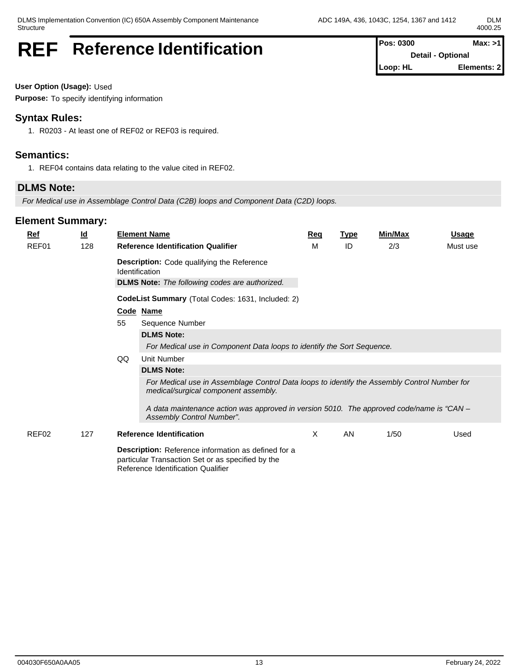# **REF** Reference Identification **Pos: 0300** Max: >1

**Detail - Optional Loop: HL Elements: 2**

**User Option (Usage):** Used

**Purpose:** To specify identifying information

## **Syntax Rules:**

1. R0203 - At least one of REF02 or REF03 is required.

## **Semantics:**

1. REF04 contains data relating to the value cited in REF02.

# **DLMS Note:**

*For Medical use in Assemblage Control Data (C2B) loops and Component Data (C2D) loops.*

| <b>Ref</b> | <u>ld</u> | <b>Element Name</b>                                                                                                                            | <u>Req</u> | <b>Type</b> | <b>Min/Max</b> | <u>Usage</u> |  |  |  |  |  |
|------------|-----------|------------------------------------------------------------------------------------------------------------------------------------------------|------------|-------------|----------------|--------------|--|--|--|--|--|
| REF01      | 128       | <b>Reference Identification Qualifier</b>                                                                                                      | M          | ID          | 2/3            | Must use     |  |  |  |  |  |
|            |           | <b>Description:</b> Code qualifying the Reference<br>Identification                                                                            |            |             |                |              |  |  |  |  |  |
|            |           | <b>DLMS Note:</b> The following codes are authorized.                                                                                          |            |             |                |              |  |  |  |  |  |
|            |           | <b>CodeList Summary</b> (Total Codes: 1631, Included: 2)                                                                                       |            |             |                |              |  |  |  |  |  |
|            |           | Code Name                                                                                                                                      |            |             |                |              |  |  |  |  |  |
|            |           | 55<br>Sequence Number                                                                                                                          |            |             |                |              |  |  |  |  |  |
|            |           | <b>DLMS Note:</b>                                                                                                                              |            |             |                |              |  |  |  |  |  |
|            |           | For Medical use in Component Data loops to identify the Sort Sequence.                                                                         |            |             |                |              |  |  |  |  |  |
|            |           | QQ<br>Unit Number                                                                                                                              |            |             |                |              |  |  |  |  |  |
|            |           | <b>DLMS Note:</b>                                                                                                                              |            |             |                |              |  |  |  |  |  |
|            |           | For Medical use in Assemblage Control Data loops to identify the Assembly Control Number for<br>medical/surgical component assembly.           |            |             |                |              |  |  |  |  |  |
|            |           | A data maintenance action was approved in version 5010. The approved code/name is "CAN -<br>Assembly Control Number".                          |            |             |                |              |  |  |  |  |  |
| REF02      | 127       | <b>Reference Identification</b>                                                                                                                | X          | AN          | 1/50           | Used         |  |  |  |  |  |
|            |           | Description: Reference information as defined for a<br>particular Transaction Set or as specified by the<br>Reference Identification Qualifier |            |             |                |              |  |  |  |  |  |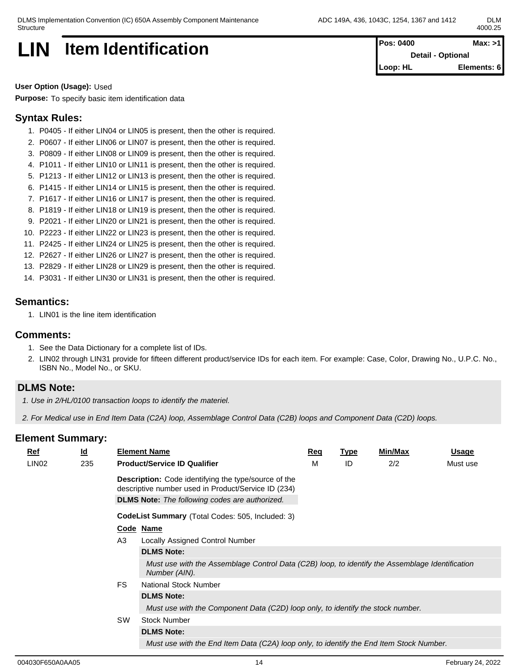

**User Option (Usage):** Used

**Purpose:** To specify basic item identification data

# **Syntax Rules:**

- 1. P0405 If either LIN04 or LIN05 is present, then the other is required.
- 2. P0607 If either LIN06 or LIN07 is present, then the other is required.
- 3. P0809 If either LIN08 or LIN09 is present, then the other is required.
- 4. P1011 If either LIN10 or LIN11 is present, then the other is required.
- 5. P1213 If either LIN12 or LIN13 is present, then the other is required.
- 6. P1415 If either LIN14 or LIN15 is present, then the other is required.
- 7. P1617 If either LIN16 or LIN17 is present, then the other is required.
- 8. P1819 If either LIN18 or LIN19 is present, then the other is required.
- 9. P2021 If either LIN20 or LIN21 is present, then the other is required.
- 10. P2223 If either LIN22 or LIN23 is present, then the other is required.
- 11. P2425 If either LIN24 or LIN25 is present, then the other is required.
- 12. P2627 If either LIN26 or LIN27 is present, then the other is required.
- 13. P2829 If either LIN28 or LIN29 is present, then the other is required.
- 14. P3031 If either LIN30 or LIN31 is present, then the other is required.

### **Semantics:**

1. LIN01 is the line item identification

#### **Comments:**

- 1. See the Data Dictionary for a complete list of IDs.
- 2. LIN02 through LIN31 provide for fifteen different product/service IDs for each item. For example: Case, Color, Drawing No., U.P.C. No., ISBN No., Model No., or SKU.

## **DLMS Note:**

*1. Use in 2/HL/0100 transaction loops to identify the materiel.*

*2. For Medical use in End Item Data (C2A) loop, Assemblage Control Data (C2B) loops and Component Data (C2D) loops.*

| $Ref$             | $\underline{\mathsf{Id}}$ |                | <b>Element Name</b>                                                                                                | <b>Req</b> | <b>Type</b> | Min/Max | <u>Usage</u> |
|-------------------|---------------------------|----------------|--------------------------------------------------------------------------------------------------------------------|------------|-------------|---------|--------------|
| LIN <sub>02</sub> | 235                       |                | <b>Product/Service ID Qualifier</b>                                                                                | М          | ID          | 2/2     | Must use     |
|                   |                           |                | <b>Description:</b> Code identifying the type/source of the<br>descriptive number used in Product/Service ID (234) |            |             |         |              |
|                   |                           |                | <b>DLMS Note:</b> The following codes are authorized.                                                              |            |             |         |              |
|                   |                           |                | <b>CodeList Summary</b> (Total Codes: 505, Included: 3)                                                            |            |             |         |              |
|                   |                           |                | Code Name                                                                                                          |            |             |         |              |
|                   |                           | A <sub>3</sub> | <b>Locally Assigned Control Number</b>                                                                             |            |             |         |              |
|                   |                           |                | <b>DLMS Note:</b>                                                                                                  |            |             |         |              |
|                   |                           |                | Must use with the Assemblage Control Data (C2B) loop, to identify the Assemblage Identification<br>Number (AIN).   |            |             |         |              |
|                   |                           | <b>FS</b>      | <b>National Stock Number</b>                                                                                       |            |             |         |              |
|                   |                           |                | <b>DLMS Note:</b>                                                                                                  |            |             |         |              |
|                   |                           |                | Must use with the Component Data (C2D) loop only, to identify the stock number.                                    |            |             |         |              |
|                   |                           | <b>SW</b>      | <b>Stock Number</b>                                                                                                |            |             |         |              |
|                   |                           |                | <b>DLMS Note:</b>                                                                                                  |            |             |         |              |
|                   |                           |                | Must use with the End Item Data (C2A) loop only, to identify the End Item Stock Number.                            |            |             |         |              |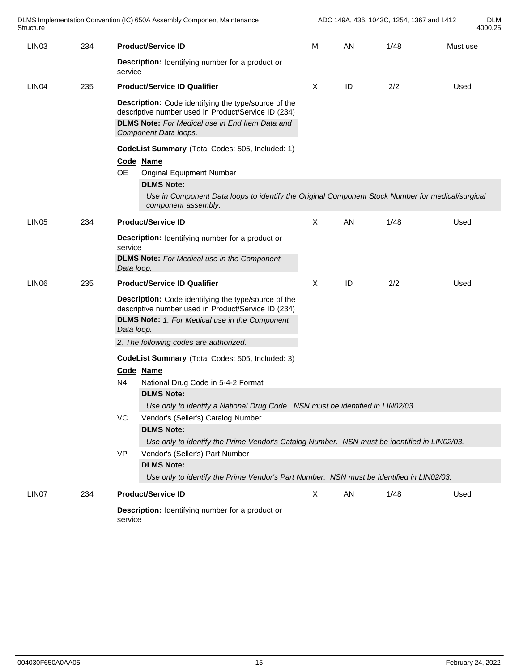| Structure         |     | DLMS Implementation Convention (IC) 650A Assembly Component Maintenance                                                                                                                        |              | ADC 149A, 436, 1043C, 1254, 1367 and 1412<br>4000.25 |      |          |  |  |
|-------------------|-----|------------------------------------------------------------------------------------------------------------------------------------------------------------------------------------------------|--------------|------------------------------------------------------|------|----------|--|--|
| LIN <sub>03</sub> | 234 | <b>Product/Service ID</b>                                                                                                                                                                      | M            | AN                                                   | 1/48 | Must use |  |  |
|                   |     | Description: Identifying number for a product or<br>service                                                                                                                                    |              |                                                      |      |          |  |  |
| LIN <sub>04</sub> | 235 | <b>Product/Service ID Qualifier</b>                                                                                                                                                            | X            | ID                                                   | 2/2  | Used     |  |  |
|                   |     | Description: Code identifying the type/source of the<br>descriptive number used in Product/Service ID (234)<br><b>DLMS Note:</b> For Medical use in End Item Data and<br>Component Data loops. |              |                                                      |      |          |  |  |
|                   |     | CodeList Summary (Total Codes: 505, Included: 1)                                                                                                                                               |              |                                                      |      |          |  |  |
|                   |     | Code Name                                                                                                                                                                                      |              |                                                      |      |          |  |  |
|                   |     | <b>OE</b><br><b>Original Equipment Number</b>                                                                                                                                                  |              |                                                      |      |          |  |  |
|                   |     | <b>DLMS Note:</b>                                                                                                                                                                              |              |                                                      |      |          |  |  |
|                   |     | Use in Component Data loops to identify the Original Component Stock Number for medical/surgical<br>component assembly.                                                                        |              |                                                      |      |          |  |  |
| LIN <sub>05</sub> | 234 | <b>Product/Service ID</b>                                                                                                                                                                      | $\mathsf{X}$ | AN                                                   | 1/48 | Used     |  |  |
|                   |     | Description: Identifying number for a product or<br>service<br><b>DLMS Note:</b> For Medical use in the Component<br>Data loop.                                                                |              |                                                      |      |          |  |  |
| LIN <sub>06</sub> | 235 | <b>Product/Service ID Qualifier</b>                                                                                                                                                            | $\times$     | ID                                                   | 2/2  | Used     |  |  |
|                   |     | Description: Code identifying the type/source of the<br>descriptive number used in Product/Service ID (234)<br><b>DLMS Note:</b> 1. For Medical use in the Component<br>Data loop.             |              |                                                      |      |          |  |  |
|                   |     | 2. The following codes are authorized.                                                                                                                                                         |              |                                                      |      |          |  |  |
|                   |     | CodeList Summary (Total Codes: 505, Included: 3)                                                                                                                                               |              |                                                      |      |          |  |  |
|                   |     | Code Name                                                                                                                                                                                      |              |                                                      |      |          |  |  |
|                   |     | N4<br>National Drug Code in 5-4-2 Format                                                                                                                                                       |              |                                                      |      |          |  |  |
|                   |     | <b>DLMS Note:</b>                                                                                                                                                                              |              |                                                      |      |          |  |  |
|                   |     | Use only to identify a National Drug Code. NSN must be identified in LIN02/03.                                                                                                                 |              |                                                      |      |          |  |  |
|                   |     | VC<br>Vendor's (Seller's) Catalog Number                                                                                                                                                       |              |                                                      |      |          |  |  |
|                   |     | <b>DLMS Note:</b>                                                                                                                                                                              |              |                                                      |      |          |  |  |
|                   |     | Use only to identify the Prime Vendor's Catalog Number. NSN must be identified in LIN02/03.                                                                                                    |              |                                                      |      |          |  |  |
|                   |     | <b>VP</b><br>Vendor's (Seller's) Part Number                                                                                                                                                   |              |                                                      |      |          |  |  |
|                   |     | <b>DLMS Note:</b><br>Use only to identify the Prime Vendor's Part Number. NSN must be identified in LIN02/03.                                                                                  |              |                                                      |      |          |  |  |
| LIN07             | 234 | <b>Product/Service ID</b>                                                                                                                                                                      | X            | AN                                                   | 1/48 | Used     |  |  |
|                   |     |                                                                                                                                                                                                |              |                                                      |      |          |  |  |
|                   |     | Description: Identifying number for a product or<br>service                                                                                                                                    |              |                                                      |      |          |  |  |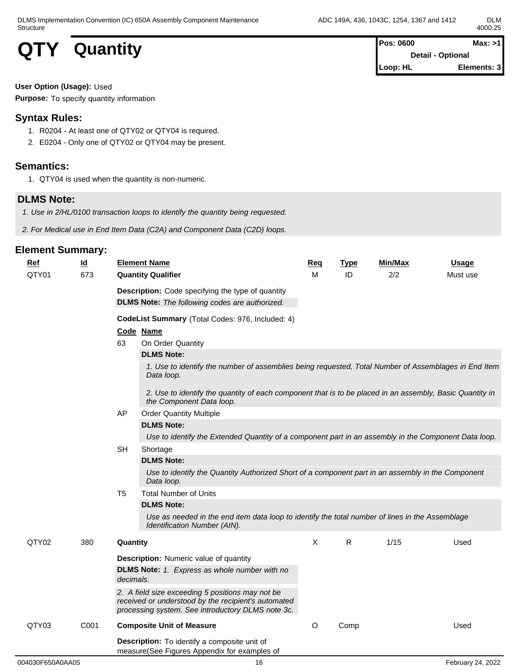**QTY** Quantity **Pos: 0600 Max: >1**<br>Detail - Optional **Detail - Optional Loop: HL Elements: 3**

# **User Option (Usage):** Used

**Purpose:** To specify quantity information

# **Syntax Rules:**

- 1. R0204 At least one of QTY02 or QTY04 is required.
- 2. E0204 Only one of QTY02 or QTY04 may be present.

# **Semantics:**

1. QTY04 is used when the quantity is non-numeric.

# **DLMS Note:**

- *1. Use in 2/HL/0100 transaction loops to identify the quantity being requested.*
- *2. For Medical use in End Item Data (C2A) and Component Data (C2D) loops.*

| <b>Ref</b>       | <u>ld</u> | <b>Element Name</b>                                                                                                                                          | <b>Req</b> | <b>Type</b> | Min/Max | <b>Usage</b>      |
|------------------|-----------|--------------------------------------------------------------------------------------------------------------------------------------------------------------|------------|-------------|---------|-------------------|
| QTY01            | 673       | <b>Quantity Qualifier</b>                                                                                                                                    | M          | ID          | 2/2     | Must use          |
|                  |           | <b>Description:</b> Code specifying the type of quantity                                                                                                     |            |             |         |                   |
|                  |           | <b>DLMS Note:</b> The following codes are authorized.                                                                                                        |            |             |         |                   |
|                  |           | CodeList Summary (Total Codes: 976, Included: 4)                                                                                                             |            |             |         |                   |
|                  |           | Code Name                                                                                                                                                    |            |             |         |                   |
|                  |           | On Order Quantity<br>63                                                                                                                                      |            |             |         |                   |
|                  |           | <b>DLMS Note:</b>                                                                                                                                            |            |             |         |                   |
|                  |           | 1. Use to identify the number of assemblies being requested, Total Number of Assemblages in End Item<br>Data loop.                                           |            |             |         |                   |
|                  |           | 2. Use to identify the quantity of each component that is to be placed in an assembly, Basic Quantity in<br>the Component Data loop.                         |            |             |         |                   |
|                  |           | <b>Order Quantity Multiple</b><br>AP                                                                                                                         |            |             |         |                   |
|                  |           | <b>DLMS Note:</b>                                                                                                                                            |            |             |         |                   |
|                  |           | Use to identify the Extended Quantity of a component part in an assembly in the Component Data loop.                                                         |            |             |         |                   |
|                  |           | <b>SH</b><br>Shortage                                                                                                                                        |            |             |         |                   |
|                  |           | <b>DLMS Note:</b>                                                                                                                                            |            |             |         |                   |
|                  |           | Use to identify the Quantity Authorized Short of a component part in an assembly in the Component<br>Data loop.                                              |            |             |         |                   |
|                  |           | T <sub>5</sub><br><b>Total Number of Units</b>                                                                                                               |            |             |         |                   |
|                  |           | <b>DLMS Note:</b>                                                                                                                                            |            |             |         |                   |
|                  |           | Use as needed in the end item data loop to identify the total number of lines in the Assemblage<br>Identification Number (AIN).                              |            |             |         |                   |
| QTY02            | 380       | Quantity                                                                                                                                                     | X          | R.          | 1/15    | Used              |
|                  |           | <b>Description:</b> Numeric value of quantity                                                                                                                |            |             |         |                   |
|                  |           | <b>DLMS Note:</b> 1. Express as whole number with no<br>decimals.                                                                                            |            |             |         |                   |
|                  |           | 2. A field size exceeding 5 positions may not be<br>received or understood by the recipient's automated<br>processing system. See introductory DLMS note 3c. |            |             |         |                   |
| QTY03            | C001      | <b>Composite Unit of Measure</b>                                                                                                                             | O          | Comp        |         | Used              |
|                  |           | Description: To identify a composite unit of<br>measure(See Figures Appendix for examples of                                                                 |            |             |         |                   |
| 004030F650A0AA05 |           | 16                                                                                                                                                           |            |             |         | February 24, 2022 |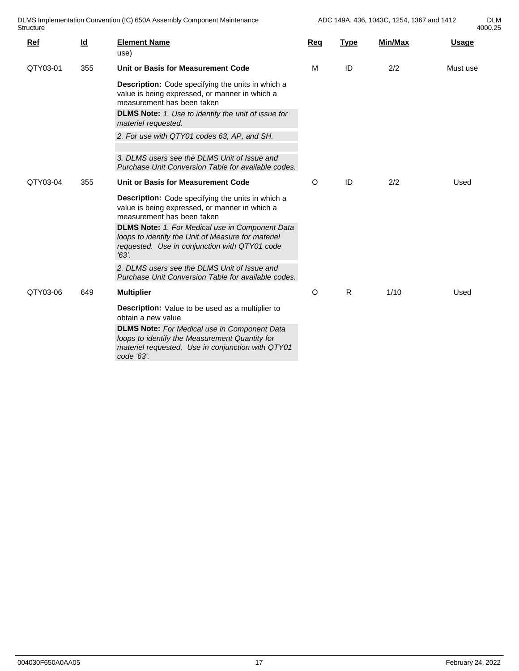4000.25

| DLMS Implementation Convention (IC) 650A Assembly Component Maintenance | 1254<br>1367<br>1043C<br>ADC.<br>$\rightarrow$ 440<br>149A.<br>436.<br>$^\prime$ and 1412 | DI N<br><b>DLIVI</b> |
|-------------------------------------------------------------------------|-------------------------------------------------------------------------------------------|----------------------|
| Structure                                                               |                                                                                           | 4000.25              |

| Ref      | $Id$ | <b>Element Name</b><br>use)                                                                                                                                                                 | Req     | <b>Type</b> | <b>Min/Max</b> | <b>Usage</b> |  |
|----------|------|---------------------------------------------------------------------------------------------------------------------------------------------------------------------------------------------|---------|-------------|----------------|--------------|--|
| QTY03-01 | 355  | Unit or Basis for Measurement Code                                                                                                                                                          | M       | ID          | 2/2            | Must use     |  |
|          |      | <b>Description:</b> Code specifying the units in which a<br>value is being expressed, or manner in which a<br>measurement has been taken                                                    |         |             |                |              |  |
|          |      | <b>DLMS Note:</b> 1. Use to identify the unit of issue for<br>materiel requested.                                                                                                           |         |             |                |              |  |
|          |      | 2. For use with QTY01 codes 63, AP, and SH.                                                                                                                                                 |         |             |                |              |  |
|          |      | 3. DLMS users see the DLMS Unit of Issue and<br>Purchase Unit Conversion Table for available codes.                                                                                         |         |             |                |              |  |
| QTY03-04 | 355  | Unit or Basis for Measurement Code                                                                                                                                                          | $\circ$ | ID          | 2/2            | Used         |  |
|          |      | Description: Code specifying the units in which a<br>value is being expressed, or manner in which a<br>measurement has been taken<br><b>DLMS Note:</b> 1. For Medical use in Component Data |         |             |                |              |  |
|          |      | loops to identify the Unit of Measure for materiel<br>requested. Use in conjunction with QTY01 code<br>$'63'$ .                                                                             |         |             |                |              |  |
|          |      | 2. DLMS users see the DLMS Unit of Issue and<br>Purchase Unit Conversion Table for available codes.                                                                                         |         |             |                |              |  |
| QTY03-06 | 649  | <b>Multiplier</b>                                                                                                                                                                           | $\circ$ | R           | 1/10           | Used         |  |
|          |      | Description: Value to be used as a multiplier to<br>obtain a new value                                                                                                                      |         |             |                |              |  |
|          |      | <b>DLMS Note:</b> For Medical use in Component Data<br>loops to identify the Measurement Quantity for<br>materiel requested. Use in conjunction with QTY01<br>code '63'.                    |         |             |                |              |  |
|          |      |                                                                                                                                                                                             |         |             |                |              |  |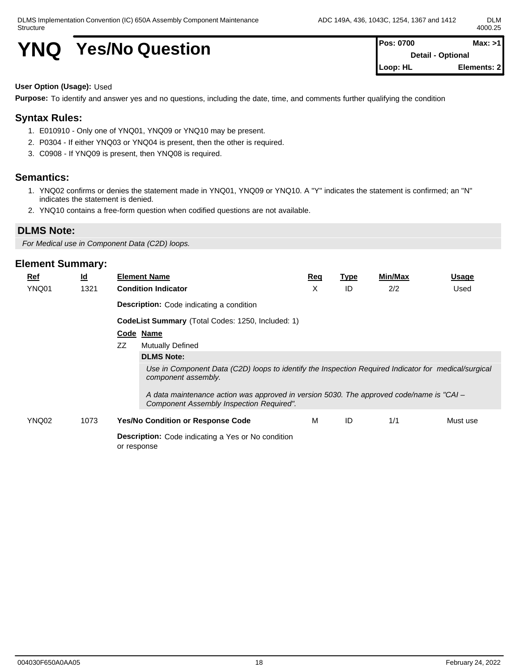# **YNQ** Yes/No Question **Pos: 0700 Max:** >1

**Detail - Optional Loop: HL Elements: 2**

#### **User Option (Usage):** Used

**Purpose:** To identify and answer yes and no questions, including the date, time, and comments further qualifying the condition

## **Syntax Rules:**

- 1. E010910 Only one of YNQ01, YNQ09 or YNQ10 may be present.
- 2. P0304 If either YNQ03 or YNQ04 is present, then the other is required.
- 3. C0908 If YNQ09 is present, then YNQ08 is required.

#### **Semantics:**

- 1. YNQ02 confirms or denies the statement made in YNQ01, YNQ09 or YNQ10. A "Y" indicates the statement is confirmed; an "N" indicates the statement is denied.
- 2. YNQ10 contains a free-form question when codified questions are not available.

#### **DLMS Note:**

*For Medical use in Component Data (C2D) loops.*

| $Ref$ | $\underline{\mathsf{Id}}$ |    | <b>Element Name</b>                                                                                                                    | Reg | Type | <b>Min/Max</b> | <b>Usage</b> |
|-------|---------------------------|----|----------------------------------------------------------------------------------------------------------------------------------------|-----|------|----------------|--------------|
| YNQ01 | 1321                      |    | <b>Condition Indicator</b>                                                                                                             | х   | ID   | 2/2            | Used         |
|       |                           |    | <b>Description:</b> Code indicating a condition                                                                                        |     |      |                |              |
|       |                           |    | <b>CodeList Summary</b> (Total Codes: 1250, Included: 1)                                                                               |     |      |                |              |
|       |                           |    | Code Name                                                                                                                              |     |      |                |              |
|       |                           | ZZ | <b>Mutually Defined</b>                                                                                                                |     |      |                |              |
|       |                           |    | <b>DLMS Note:</b>                                                                                                                      |     |      |                |              |
|       |                           |    | Use in Component Data (C2D) loops to identify the Inspection Required Indicator for medical/surgical<br>component assembly.            |     |      |                |              |
|       |                           |    | A data maintenance action was approved in version 5030. The approved code/name is "CAI $-$<br>Component Assembly Inspection Required". |     |      |                |              |
| YNQ02 | 1073                      |    | <b>Yes/No Condition or Response Code</b>                                                                                               | м   | ID   | 1/1            | Must use     |
|       |                           |    | <b>Description:</b> Code indicating a Yes or No condition<br>or response                                                               |     |      |                |              |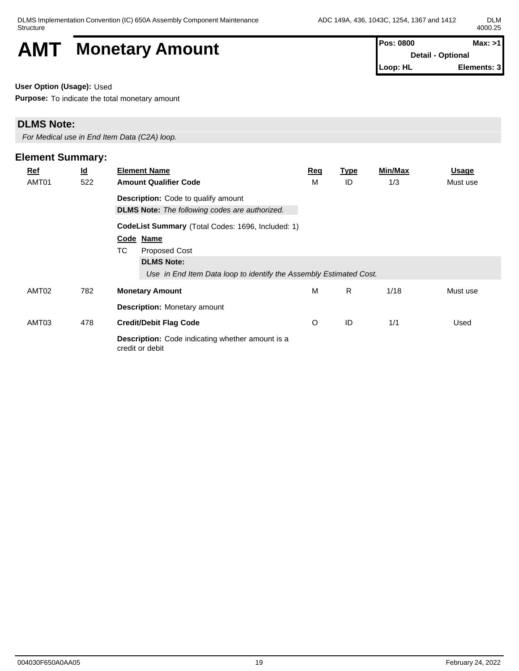# AMT Monetary Amount **Pos: 0800 Max:** >1

**Detail - Optional Loop: HL Elements: 3**

**User Option (Usage):** Used

**Purpose:** To indicate the total monetary amount

## **DLMS Note:**

*For Medical use in End Item Data (C2A) loop.*

## **Element Summary: Ref Id Element Name Req Type Min/Max Usage** AMT01 522 **Amount Qualifier Code Description:** Code to qualify amount **DLMS Note:** *The following codes are authorized.* M ID 1/3 Must use **CodeList Summary** (Total Codes: 1696, Included: 1) **Code Name** TC Proposed Cost **DLMS Note:** *Use in End Item Data loop to identify the Assembly Estimated Cost.* AMT02 782 **Monetary Amount Description:** Monetary amount M R 1/18 Must use AMT03 478 **Credit/Debit Flag Code Description:** Code indicating whether amount is a credit or debit O ID 1/1 Used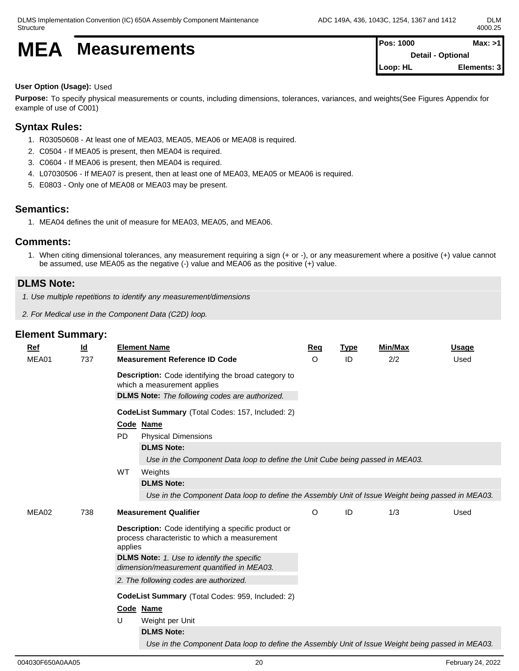# **MEA** Measurements **Pos:** 1000 **Max:** >1

**Detail - Optional Loop: HL Elements: 3**

### **User Option (Usage):** Used

**Purpose:** To specify physical measurements or counts, including dimensions, tolerances, variances, and weights(See Figures Appendix for example of use of C001)

## **Syntax Rules:**

- 1. R03050608 At least one of MEA03, MEA05, MEA06 or MEA08 is required.
- 2. C0504 If MEA05 is present, then MEA04 is required.
- 3. C0604 If MEA06 is present, then MEA04 is required.
- 4. L07030506 If MEA07 is present, then at least one of MEA03, MEA05 or MEA06 is required.
- 5. E0803 Only one of MEA08 or MEA03 may be present.

## **Semantics:**

1. MEA04 defines the unit of measure for MEA03, MEA05, and MEA06.

## **Comments:**

1. When citing dimensional tolerances, any measurement requiring a sign (+ or -), or any measurement where a positive (+) value cannot be assumed, use MEA05 as the negative (-) value and MEA06 as the positive (+) value.

# **DLMS Note:**

- *1. Use multiple repetitions to identify any measurement/dimensions*
- *2. For Medical use in the Component Data (C2D) loop.*

| <b>Ref</b> | <u>ld</u> | <b>Element Name</b>                                                                                                                                                                                                                                                                                                                                          | Req | <b>Type</b> | <b>Min/Max</b> | <b>Usage</b> |
|------------|-----------|--------------------------------------------------------------------------------------------------------------------------------------------------------------------------------------------------------------------------------------------------------------------------------------------------------------------------------------------------------------|-----|-------------|----------------|--------------|
| MEA01      | 737       | <b>Measurement Reference ID Code</b>                                                                                                                                                                                                                                                                                                                         | O   | ID          | 2/2            | Used         |
|            |           | Description: Code identifying the broad category to<br>which a measurement applies<br><b>DLMS Note:</b> The following codes are authorized.                                                                                                                                                                                                                  |     |             |                |              |
|            |           | CodeList Summary (Total Codes: 157, Included: 2)                                                                                                                                                                                                                                                                                                             |     |             |                |              |
|            |           | Code Name<br><b>PD</b><br><b>Physical Dimensions</b>                                                                                                                                                                                                                                                                                                         |     |             |                |              |
|            |           | <b>DLMS Note:</b><br>Use in the Component Data loop to define the Unit Cube being passed in MEA03.                                                                                                                                                                                                                                                           |     |             |                |              |
|            |           | WT<br>Weights<br><b>DLMS Note:</b><br>Use in the Component Data loop to define the Assembly Unit of Issue Weight being passed in MEA03.                                                                                                                                                                                                                      |     |             |                |              |
| MEA02      | 738       | <b>Measurement Qualifier</b>                                                                                                                                                                                                                                                                                                                                 | O   | ID          | 1/3            | Used         |
|            |           | <b>Description:</b> Code identifying a specific product or<br>process characteristic to which a measurement<br>applies<br><b>DLMS Note:</b> 1. Use to identify the specific<br>dimension/measurement quantified in MEA03.<br>2. The following codes are authorized.<br>CodeList Summary (Total Codes: 959, Included: 2)<br>Code Name<br>U<br>Weight per Unit |     |             |                |              |
|            |           | <b>DLMS Note:</b><br>Use in the Component Data loop to define the Assembly Unit of Issue Weight being passed in MEA03.                                                                                                                                                                                                                                       |     |             |                |              |
|            |           |                                                                                                                                                                                                                                                                                                                                                              |     |             |                |              |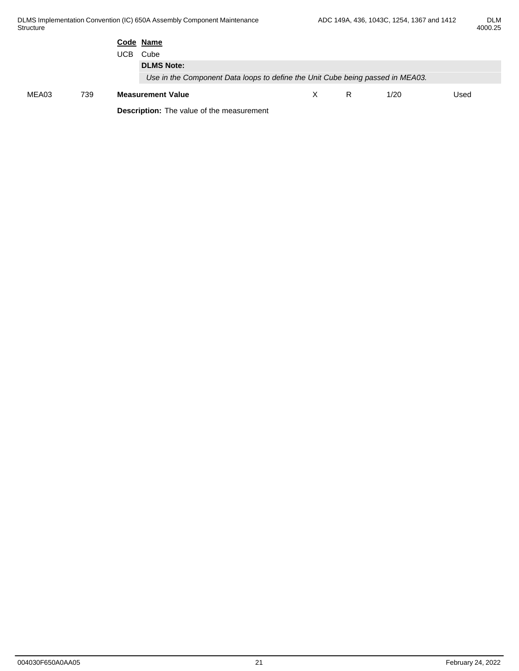| ואו ונו |
|---------|
| 4000.25 |

|       |     | Code Name<br>UCB Cube<br><b>DLMS Note:</b><br>Use in the Component Data loops to define the Unit Cube being passed in MEA03. |   |   |      |      |  |
|-------|-----|------------------------------------------------------------------------------------------------------------------------------|---|---|------|------|--|
| MEA03 | 739 | <b>Measurement Value</b><br><b>Description:</b> The value of the measurement                                                 | X | R | 1/20 | Used |  |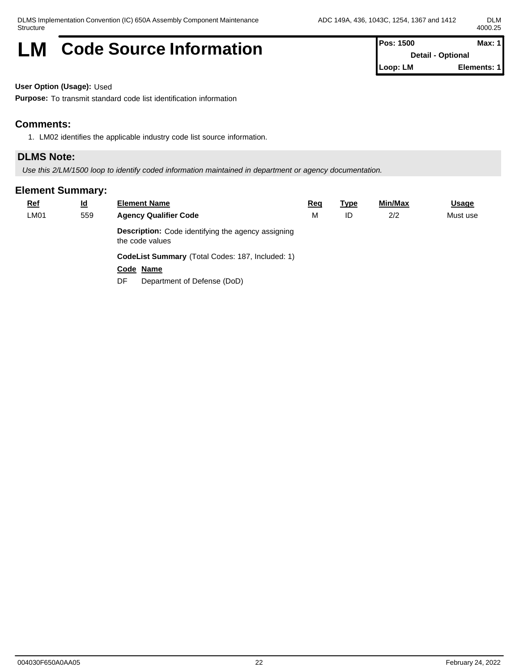# **LM** Code Source Information **Pos: 1500** Max: 1

**Detail - Optional Loop: LM Elements: 1**

**User Option (Usage):** Used

**Purpose:** To transmit standard code list identification information

## **Comments:**

1. LM02 identifies the applicable industry code list source information.

### **DLMS Note:**

*Use this 2/LM/1500 loop to identify coded information maintained in department or agency documentation.*

| $Ref$ | <u>ld</u> | <b>Element Name</b>                                                   | <u>Req</u> | <b>Type</b> | Min/Max | Usage    |
|-------|-----------|-----------------------------------------------------------------------|------------|-------------|---------|----------|
| LM01  | 559       | <b>Agency Qualifier Code</b>                                          | М          | ID          | 2/2     | Must use |
|       |           | Description: Code identifying the agency assigning<br>the code values |            |             |         |          |
|       |           | CodeList Summary (Total Codes: 187, Included: 1)                      |            |             |         |          |
|       |           | Code Name                                                             |            |             |         |          |
|       |           | Department of Defense (DoD)<br>DF                                     |            |             |         |          |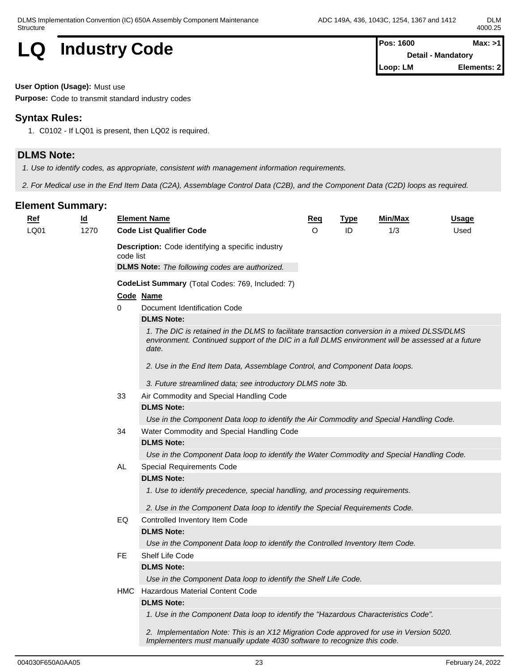**Detail - Mandatory Loop: LM Elements: 2**

**LQ Industry Code Pos: 1600 Max: >1**<br>Detail - Mandatory

**User Option (Usage):** Must use

**Purpose:** Code to transmit standard industry codes

# **Syntax Rules:**

1. C0102 - If LQ01 is present, then LQ02 is required.

# **DLMS Note:**

*1. Use to identify codes, as appropriate, consistent with management information requirements.*

*2. For Medical use in the End Item Data (C2A), Assemblage Control Data (C2B), and the Component Data (C2D) loops as required.*

| <b>Ref</b> | $\underline{\mathsf{Id}}$ |           | <b>Element Name</b>                                                                                                                                                                                        | <u>Req</u>                                                                                                                                                                                                                                                           | <b>Type</b> | <u>Min/Max</u> | <u>Usage</u> |
|------------|---------------------------|-----------|------------------------------------------------------------------------------------------------------------------------------------------------------------------------------------------------------------|----------------------------------------------------------------------------------------------------------------------------------------------------------------------------------------------------------------------------------------------------------------------|-------------|----------------|--------------|
| LQ01       | 1270                      |           | <b>Code List Qualifier Code</b>                                                                                                                                                                            | $\Omega$                                                                                                                                                                                                                                                             | ID          | 1/3            | Used         |
|            |                           | code list | <b>Description:</b> Code identifying a specific industry                                                                                                                                                   |                                                                                                                                                                                                                                                                      |             |                |              |
|            |                           |           | <b>DLMS Note:</b> The following codes are authorized.                                                                                                                                                      |                                                                                                                                                                                                                                                                      |             |                |              |
|            |                           |           | CodeList Summary (Total Codes: 769, Included: 7)                                                                                                                                                           |                                                                                                                                                                                                                                                                      |             |                |              |
|            |                           |           | Code Name                                                                                                                                                                                                  |                                                                                                                                                                                                                                                                      |             |                |              |
|            |                           | 0         | Document Identification Code                                                                                                                                                                               |                                                                                                                                                                                                                                                                      |             |                |              |
|            |                           |           | <b>DLMS Note:</b>                                                                                                                                                                                          |                                                                                                                                                                                                                                                                      |             |                |              |
|            |                           |           | 1. The DIC is retained in the DLMS to facilitate transaction conversion in a mixed DLSS/DLMS<br>environment. Continued support of the DIC in a full DLMS environment will be assessed at a future<br>date. |                                                                                                                                                                                                                                                                      |             |                |              |
|            |                           |           | 2. Use in the End Item Data, Assemblage Control, and Component Data loops.                                                                                                                                 |                                                                                                                                                                                                                                                                      |             |                |              |
|            |                           |           | 3. Future streamlined data; see introductory DLMS note 3b.                                                                                                                                                 |                                                                                                                                                                                                                                                                      |             |                |              |
|            |                           | 33        | Air Commodity and Special Handling Code                                                                                                                                                                    |                                                                                                                                                                                                                                                                      |             |                |              |
|            |                           |           | <b>DLMS Note:</b>                                                                                                                                                                                          |                                                                                                                                                                                                                                                                      |             |                |              |
|            |                           |           |                                                                                                                                                                                                            |                                                                                                                                                                                                                                                                      |             |                |              |
|            |                           | 34        | Water Commodity and Special Handling Code                                                                                                                                                                  |                                                                                                                                                                                                                                                                      |             |                |              |
|            |                           |           | <b>DLMS Note:</b>                                                                                                                                                                                          |                                                                                                                                                                                                                                                                      |             |                |              |
|            |                           |           |                                                                                                                                                                                                            |                                                                                                                                                                                                                                                                      |             |                |              |
|            |                           | AL        | Special Requirements Code                                                                                                                                                                                  |                                                                                                                                                                                                                                                                      |             |                |              |
|            |                           |           | <b>DLMS Note:</b>                                                                                                                                                                                          |                                                                                                                                                                                                                                                                      |             |                |              |
|            |                           |           | 1. Use to identify precedence, special handling, and processing requirements.                                                                                                                              |                                                                                                                                                                                                                                                                      |             |                |              |
|            |                           |           |                                                                                                                                                                                                            | Use in the Component Data loop to identify the Air Commodity and Special Handling Code.<br>Use in the Component Data loop to identify the Water Commodity and Special Handling Code.<br>2. Use in the Component Data loop to identify the Special Requirements Code. |             |                |              |
|            |                           | EQ        | Controlled Inventory Item Code                                                                                                                                                                             |                                                                                                                                                                                                                                                                      |             |                |              |
|            |                           |           | <b>DLMS Note:</b>                                                                                                                                                                                          |                                                                                                                                                                                                                                                                      |             |                |              |
|            |                           |           | Use in the Component Data loop to identify the Controlled Inventory Item Code.                                                                                                                             |                                                                                                                                                                                                                                                                      |             |                |              |
|            |                           | FE.       | Shelf Life Code                                                                                                                                                                                            |                                                                                                                                                                                                                                                                      |             |                |              |
|            |                           |           | <b>DLMS Note:</b>                                                                                                                                                                                          |                                                                                                                                                                                                                                                                      |             |                |              |
|            |                           |           | Use in the Component Data loop to identify the Shelf Life Code.                                                                                                                                            |                                                                                                                                                                                                                                                                      |             |                |              |
|            |                           |           | <b>HMC</b> Hazardous Material Content Code                                                                                                                                                                 |                                                                                                                                                                                                                                                                      |             |                |              |
|            |                           |           | <b>DLMS Note:</b>                                                                                                                                                                                          |                                                                                                                                                                                                                                                                      |             |                |              |
|            |                           |           | 1. Use in the Component Data loop to identify the "Hazardous Characteristics Code".                                                                                                                        |                                                                                                                                                                                                                                                                      |             |                |              |
|            |                           |           | 2. Implementation Note: This is an X12 Migration Code approved for use in Version 5020.<br>Implementers must manually update 4030 software to recognize this code.                                         |                                                                                                                                                                                                                                                                      |             |                |              |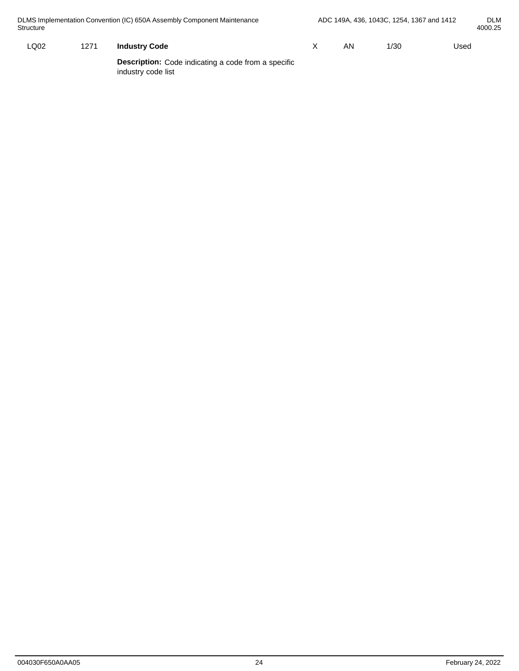| DLMS Implementation Convention (IC) 650A Assembly Component Maintenance<br>Structure |      |      |                                                                                  |  | ADC 149A, 436, 1043C, 1254, 1367 and 1412 | <b>DLM</b><br>4000.25 |      |  |
|--------------------------------------------------------------------------------------|------|------|----------------------------------------------------------------------------------|--|-------------------------------------------|-----------------------|------|--|
|                                                                                      | LQ02 | 1271 | <b>Industry Code</b>                                                             |  | AN                                        | 1/30                  | Used |  |
|                                                                                      |      |      | <b>Description:</b> Code indicating a code from a specific<br>industry code list |  |                                           |                       |      |  |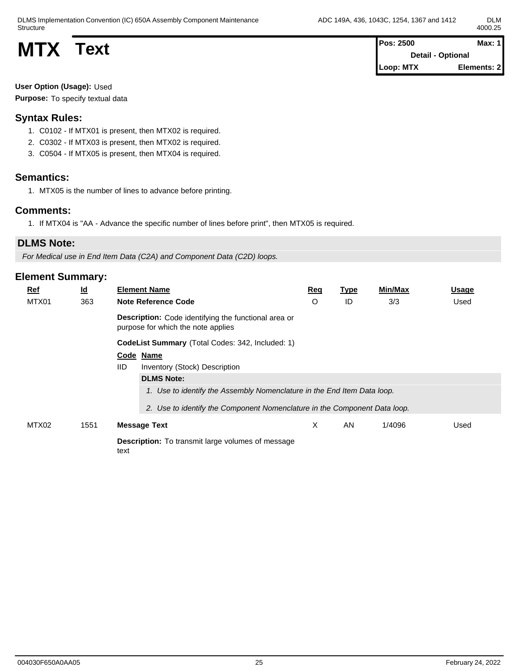DLMS Implementation Convention (IC) 650A Assembly Component Maintenance Structure

**MTX Text MTX Text Pos: 2500 Max: 1 Detail - Optional Loop: MTX Elements: 2**

**User Option (Usage):** Used Purpose: To specify textual data

# **Syntax Rules:**

- 1. C0102 If MTX01 is present, then MTX02 is required.
- 2. C0302 If MTX03 is present, then MTX02 is required.
- 3. C0504 If MTX05 is present, then MTX04 is required.

## **Semantics:**

1. MTX05 is the number of lines to advance before printing.

### **Comments:**

1. If MTX04 is "AA - Advance the specific number of lines before print", then MTX05 is required.

## **DLMS Note:**

*For Medical use in End Item Data (C2A) and Component Data (C2D) loops.*

| Ref   | $\underline{\mathsf{Id}}$                        |                                                                  | <b>Element Name</b>                                                                               | Req     | <b>Type</b> | Min/Max | <b>Usage</b> |  |  |
|-------|--------------------------------------------------|------------------------------------------------------------------|---------------------------------------------------------------------------------------------------|---------|-------------|---------|--------------|--|--|
| MTX01 | 363                                              | <b>Note Reference Code</b>                                       |                                                                                                   | $\circ$ | ID          | 3/3     | Used         |  |  |
|       |                                                  |                                                                  | <b>Description:</b> Code identifying the functional area or<br>purpose for which the note applies |         |             |         |              |  |  |
|       | CodeList Summary (Total Codes: 342, Included: 1) |                                                                  |                                                                                                   |         |             |         |              |  |  |
|       |                                                  |                                                                  | Code Name                                                                                         |         |             |         |              |  |  |
|       |                                                  | <b>IID</b>                                                       | Inventory (Stock) Description                                                                     |         |             |         |              |  |  |
|       |                                                  |                                                                  | <b>DLMS Note:</b>                                                                                 |         |             |         |              |  |  |
|       |                                                  |                                                                  | 1. Use to identify the Assembly Nomenclature in the End Item Data loop.                           |         |             |         |              |  |  |
|       |                                                  |                                                                  | 2. Use to identify the Component Nomenclature in the Component Data loop.                         |         |             |         |              |  |  |
| MTX02 | 1551                                             | <b>Message Text</b>                                              |                                                                                                   | X       | AN          | 1/4096  | Used         |  |  |
|       |                                                  | <b>Description:</b> To transmit large volumes of message<br>text |                                                                                                   |         |             |         |              |  |  |